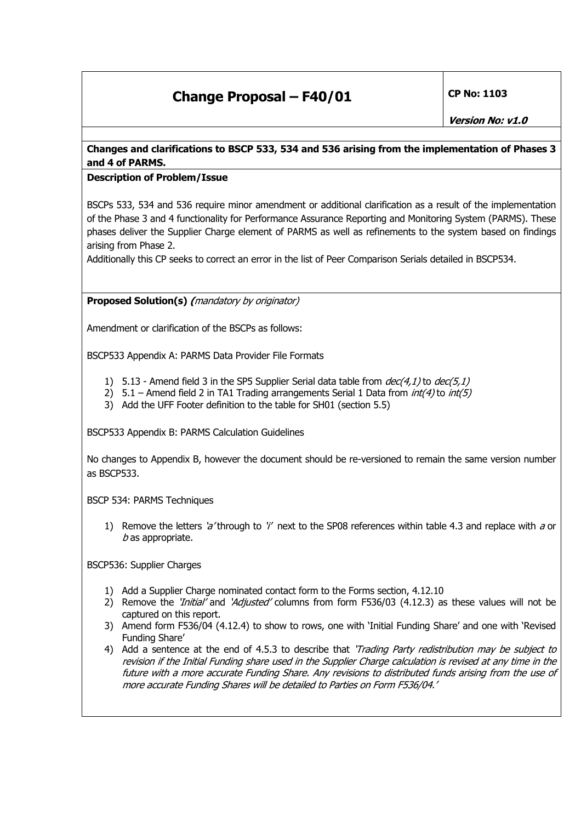## **Change Proposal – F40/01** CP No: 1103

## **Changes and clarifications to BSCP 533, 534 and 536 arising from the implementation of Phases 3 and 4 of PARMS.**

## **Description of Problem/Issue**

BSCPs 533, 534 and 536 require minor amendment or additional clarification as a result of the implementation of the Phase 3 and 4 functionality for Performance Assurance Reporting and Monitoring System (PARMS). These phases deliver the Supplier Charge element of PARMS as well as refinements to the system based on findings arising from Phase 2.

Additionally this CP seeks to correct an error in the list of Peer Comparison Serials detailed in BSCP534.

**Proposed Solution(s) (**mandatory by originator)

Amendment or clarification of the BSCPs as follows:

BSCP533 Appendix A: PARMS Data Provider File Formats

- 1) 5.13 Amend field 3 in the SP5 Supplier Serial data table from  $dec(4,1)$  to  $dec(5,1)$
- 2)  $5.1$  Amend field 2 in TA1 Trading arrangements Serial 1 Data from  $int(4)$  to  $int(5)$
- 3) Add the UFF Footer definition to the table for SH01 (section 5.5)

BSCP533 Appendix B: PARMS Calculation Guidelines

No changes to Appendix B, however the document should be re-versioned to remain the same version number as BSCP533.

BSCP 534: PARMS Techniques

1) Remove the letters 'a' through to 'i' next to the SP08 references within table 4.3 and replace with a or  $b$  as appropriate.

BSCP536: Supplier Charges

- 1) Add a Supplier Charge nominated contact form to the Forms section, 4.12.10
- 2) Remove the '*Initial'* and 'Adjusted' columns from form F536/03 (4.12.3) as these values will not be captured on this report.
- 3) Amend form F536/04 (4.12.4) to show to rows, one with 'Initial Funding Share' and one with 'Revised Funding Share'
- 4) Add a sentence at the end of 4.5.3 to describe that 'Trading Party redistribution may be subject to revision if the Initial Funding share used in the Supplier Charge calculation is revised at any time in the future with a more accurate Funding Share. Any revisions to distributed funds arising from the use of more accurate Funding Shares will be detailed to Parties on Form F536/04.'